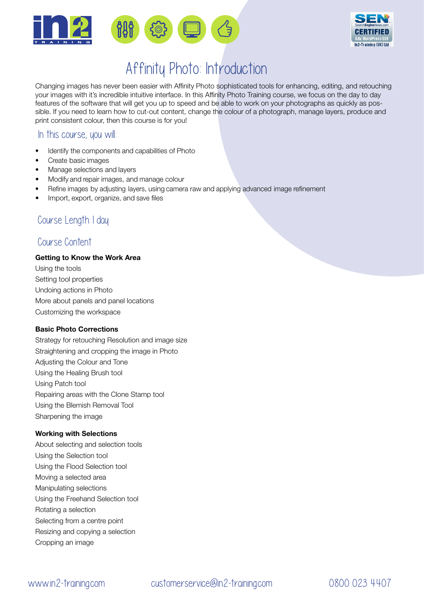



## Affinity Photo: Introduction

Changing images has never been easier with Affinity Photo sophisticated tools for enhancing, editing, and retouching your images with it's incredible intuitive interface. In this Affinity Photo Training course, we focus on the day to day features of the software that will get you up to speed and be able to work on your photographs as quickly as possible. If you need to learn how to cut-out content, change the colour of a photograph, manage layers, produce and print consistent colour, then this course is for you!

### In this course, you will

- Identify the components and capabilities of Photo
- Create basic images
- Manage selections and layers
- Modify and repair images, and manage colour
- Refine images by adjusting layers, using camera raw and applying advanced image refinement
- Import, export, organize, and save files

## Course Length:1 day

### Course Content

#### Getting to Know the Work Area

Using the tools Setting tool properties Undoing actions in Photo More about panels and panel locations Customizing the workspace

#### Basic Photo Corrections

Strategy for retouching Resolution and image size Straightening and cropping the image in Photo Adjusting the Colour and Tone Using the Healing Brush tool Using Patch tool Repairing areas with the Clone Stamp tool Using the Blemish Removal Tool Sharpening the image

#### Working with Selections

About selecting and selection tools Using the Selection tool Using the Flood Selection tool Moving a selected area Manipulating selections Using the Freehand Selection tool Rotating a selection Selecting from a centre point Resizing and copying a selection Cropping an image